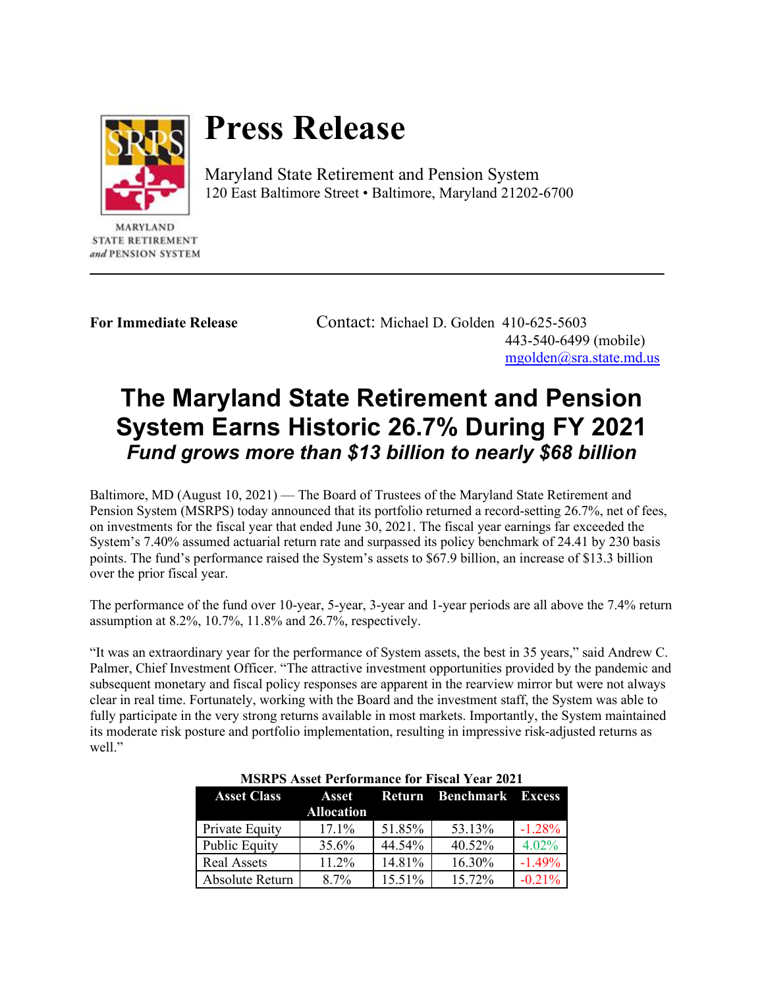

## **Press Release**

Maryland State Retirement and Pension System 120 East Baltimore Street • Baltimore, Maryland 21202-6700

**STATE RETIREMENT** and PENSION SYSTEM

**For Immediate Release** Contact: Michael D. Golden 410-625-5603 443-540-6499 (mobile) [mgolden@sra.state.md.us](mailto:mgolden@sra.state.md.us)

## **The Maryland State Retirement and Pension System Earns Historic 26.7% During FY 2021** *Fund grows more than \$13 billion to nearly \$68 billion*

Baltimore, MD (August 10, 2021) — The Board of Trustees of the Maryland State Retirement and Pension System (MSRPS) today announced that its portfolio returned a record-setting 26.7%, net of fees, on investments for the fiscal year that ended June 30, 2021. The fiscal year earnings far exceeded the System's 7.40% assumed actuarial return rate and surpassed its policy benchmark of 24.41 by 230 basis points. The fund's performance raised the System's assets to \$67.9 billion, an increase of \$13.3 billion over the prior fiscal year.

The performance of the fund over 10-year, 5-year, 3-year and 1-year periods are all above the 7.4% return assumption at 8.2%, 10.7%, 11.8% and 26.7%, respectively.

"It was an extraordinary year for the performance of System assets, the best in 35 years," said Andrew C. Palmer, Chief Investment Officer. "The attractive investment opportunities provided by the pandemic and subsequent monetary and fiscal policy responses are apparent in the rearview mirror but were not always clear in real time. Fortunately, working with the Board and the investment staff, the System was able to fully participate in the very strong returns available in most markets. Importantly, the System maintained its moderate risk posture and portfolio implementation, resulting in impressive risk-adjusted returns as well."

| <b>MSRPS Asset Performance for Fiscal Year 2021</b> |                   |        |                                      |          |  |  |
|-----------------------------------------------------|-------------------|--------|--------------------------------------|----------|--|--|
| <b>Asset Class</b>                                  | <b>Allocation</b> |        | <b>Asset Return Benchmark Excess</b> |          |  |  |
| Private Equity                                      | $17.1\%$          | 51.85% | 53.13%                               | $-1.28%$ |  |  |
| <b>Public Equity</b>                                | 35.6%             | 44.54% | 40.52%                               | 4.02%    |  |  |
| <b>Real Assets</b>                                  | $11.2\%$          | 14.81% | 16.30%                               | $-1.49%$ |  |  |
| Absolute Return                                     | $8.7\%$           | 15.51% | 15.72%                               | $-0.21%$ |  |  |

**MSRPS Asset Performance for Fiscal Year 2021**